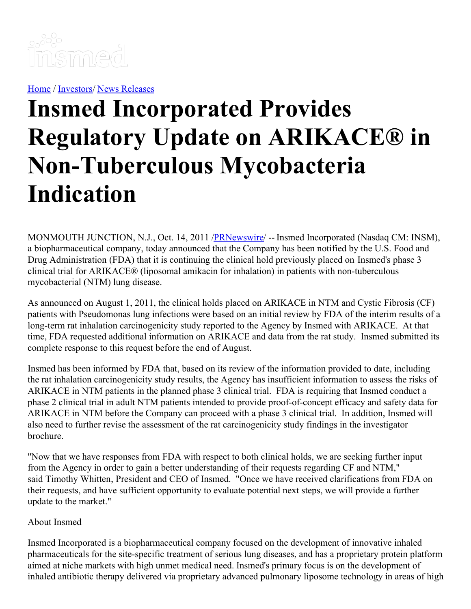

[Home](https://insmed.com/) / [Investors](https://investor.insmed.com/index)/ News [Releases](https://investor.insmed.com/releases)

## **Insmed Incorporated Provides Regulatory Update on ARIKACE® in Non-Tuberculous Mycobacteria Indication**

MONMOUTH JUNCTION, N.J., Oct. 14, 2011 [/PRNewswire](http://www.prnewswire.com/)/ -- Insmed Incorporated (Nasdaq CM: INSM), a biopharmaceutical company, today announced that the Company has been notified by the U.S. Food and Drug Administration (FDA) that it is continuing the clinical hold previously placed on Insmed's phase 3 clinical trial for ARIKACE® (liposomal amikacin for inhalation) in patients with non-tuberculous mycobacterial (NTM) lung disease.

As announced on August 1, 2011, the clinical holds placed on ARIKACE in NTM and Cystic Fibrosis (CF) patients with Pseudomonas lung infections were based on an initial review by FDA of the interim results of a long-term rat inhalation carcinogenicity study reported to the Agency by Insmed with ARIKACE. At that time, FDA requested additional information on ARIKACE and data from the rat study. Insmed submitted its complete response to this request before the end of August.

Insmed has been informed by FDA that, based on its review of the information provided to date, including the rat inhalation carcinogenicity study results, the Agency has insufficient information to assess the risks of ARIKACE in NTM patients in the planned phase 3 clinical trial. FDA is requiring that Insmed conduct a phase 2 clinical trial in adult NTM patients intended to provide proof-of-concept efficacy and safety data for ARIKACE in NTM before the Company can proceed with a phase 3 clinical trial. In addition, Insmed will also need to further revise the assessment of the rat carcinogenicity study findings in the investigator brochure.

"Now that we have responses from FDA with respect to both clinical holds, we are seeking further input from the Agency in order to gain a better understanding of their requests regarding CF and NTM," said Timothy Whitten, President and CEO of Insmed. "Once we have received clarifications from FDA on their requests, and have sufficient opportunity to evaluate potential next steps, we will provide a further update to the market."

## About Insmed

Insmed Incorporated is a biopharmaceutical company focused on the development of innovative inhaled pharmaceuticals for the site-specific treatment of serious lung diseases, and has a proprietary protein platform aimed at niche markets with high unmet medical need. Insmed's primary focus is on the development of inhaled antibiotic therapy delivered via proprietary advanced pulmonary liposome technology in areas of high